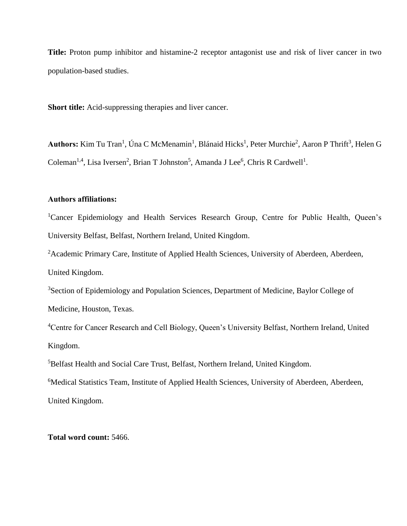**Title:** Proton pump inhibitor and histamine-2 receptor antagonist use and risk of liver cancer in two population-based studies.

**Short title:** Acid-suppressing therapies and liver cancer.

Authors: Kim Tu Tran<sup>1</sup>, Úna C McMenamin<sup>1</sup>, Blánaid Hicks<sup>1</sup>, Peter Murchie<sup>2</sup>, Aaron P Thrift<sup>3</sup>, Helen G Coleman<sup>1,4</sup>, Lisa Iversen<sup>2</sup>, Brian T Johnston<sup>5</sup>, Amanda J Lee<sup>6</sup>, Chris R Cardwell<sup>1</sup>.

# **Authors affiliations:**

<sup>1</sup>Cancer Epidemiology and Health Services Research Group, Centre for Public Health, Queen's University Belfast, Belfast, Northern Ireland, United Kingdom.

<sup>2</sup> Academic Primary Care, Institute of Applied Health Sciences, University of Aberdeen, Aberdeen, United Kingdom.

<sup>3</sup>Section of Epidemiology and Population Sciences, Department of Medicine, Baylor College of Medicine, Houston, Texas.

<sup>4</sup>Centre for Cancer Research and Cell Biology, Queen's University Belfast, Northern Ireland, United Kingdom.

<sup>5</sup>Belfast Health and Social Care Trust, Belfast, Northern Ireland, United Kingdom.

<sup>6</sup>Medical Statistics Team, Institute of Applied Health Sciences, University of Aberdeen, Aberdeen, United Kingdom.

# **Total word count:** 5466.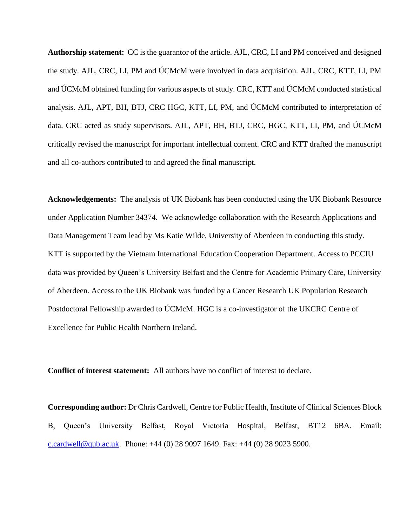**Authorship statement:** CC is the guarantor of the article. AJL, CRC, LI and PM conceived and designed the study. AJL, CRC, LI, PM and ÚCMcM were involved in data acquisition. AJL, CRC, KTT, LI, PM and ÚCMcM obtained funding for various aspects of study. CRC, KTT and ÚCMcM conducted statistical analysis. AJL, APT, BH, BTJ, CRC HGC, KTT, LI, PM, and ÚCMcM contributed to interpretation of data. CRC acted as study supervisors. AJL, APT, BH, BTJ, CRC, HGC, KTT, LI, PM, and ÚCMcM critically revised the manuscript for important intellectual content. CRC and KTT drafted the manuscript and all co-authors contributed to and agreed the final manuscript.

**Acknowledgements:** The analysis of UK Biobank has been conducted using the UK Biobank Resource under Application Number 34374. We acknowledge collaboration with the Research Applications and Data Management Team lead by Ms Katie Wilde, University of Aberdeen in conducting this study. KTT is supported by the Vietnam International Education Cooperation Department. Access to PCCIU data was provided by Queen's University Belfast and the Centre for Academic Primary Care, University of Aberdeen. Access to the UK Biobank was funded by a Cancer Research UK Population Research Postdoctoral Fellowship awarded to ÚCMcM. HGC is a co-investigator of the UKCRC Centre of Excellence for Public Health Northern Ireland.

**Conflict of interest statement:** All authors have no conflict of interest to declare.

**Corresponding author:** Dr Chris Cardwell, Centre for Public Health, Institute of Clinical Sciences Block B, Queen's University Belfast, Royal Victoria Hospital, Belfast, BT12 6BA. Email: [c.cardwell@qub.ac.uk.](mailto:c.cardwell@qub.ac.uk) Phone: +44 (0) 28 9097 1649. Fax: +44 (0) 28 9023 5900.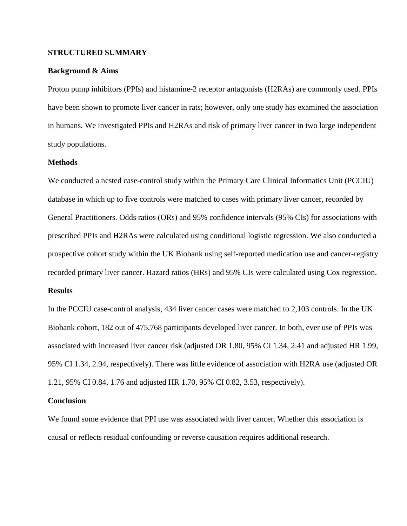# **STRUCTURED SUMMARY**

# **Background & Aims**

Proton pump inhibitors (PPIs) and histamine-2 receptor antagonists (H2RAs) are commonly used. PPIs have been shown to promote liver cancer in rats; however, only one study has examined the association in humans. We investigated PPIs and H2RAs and risk of primary liver cancer in two large independent study populations.

# **Methods**

We conducted a nested case-control study within the Primary Care Clinical Informatics Unit (PCCIU) database in which up to five controls were matched to cases with primary liver cancer, recorded by General Practitioners. Odds ratios (ORs) and 95% confidence intervals (95% CIs) for associations with prescribed PPIs and H2RAs were calculated using conditional logistic regression. We also conducted a prospective cohort study within the UK Biobank using self-reported medication use and cancer-registry recorded primary liver cancer. Hazard ratios (HRs) and 95% CIs were calculated using Cox regression.

# **Results**

In the PCCIU case-control analysis, 434 liver cancer cases were matched to 2,103 controls. In the UK Biobank cohort, 182 out of 475,768 participants developed liver cancer. In both, ever use of PPIs was associated with increased liver cancer risk (adjusted OR 1.80, 95% CI 1.34, 2.41 and adjusted HR 1.99, 95% CI 1.34, 2.94, respectively). There was little evidence of association with H2RA use (adjusted OR 1.21, 95% CI 0.84, 1.76 and adjusted HR 1.70, 95% CI 0.82, 3.53, respectively).

# **Conclusion**

We found some evidence that PPI use was associated with liver cancer. Whether this association is causal or reflects residual confounding or reverse causation requires additional research.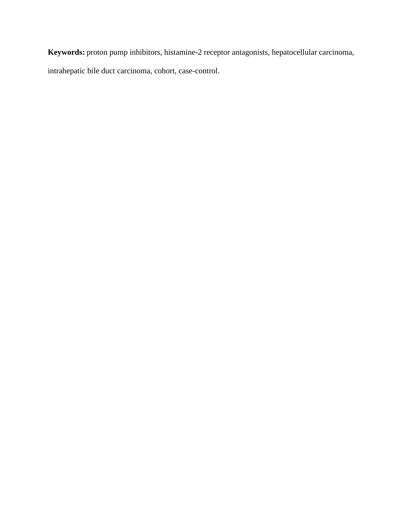**Keywords:** proton pump inhibitors, histamine-2 receptor antagonists, hepatocellular carcinoma, intrahepatic bile duct carcinoma, cohort, case-control.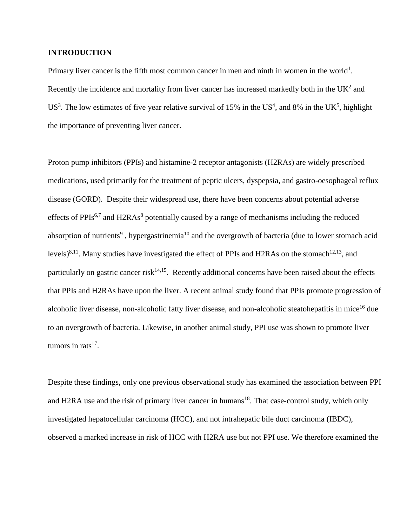# **INTRODUCTION**

Primary liver cancer is the fifth most common cancer in men and ninth in women in the world<sup>1</sup>. Recently the incidence and mortality from liver cancer has increased markedly both in the  $UK<sup>2</sup>$  and US<sup>3</sup>. The low estimates of five year relative survival of 15% in the US<sup>4</sup>, and 8% in the UK<sup>5</sup>, highlight the importance of preventing liver cancer.

Proton pump inhibitors (PPIs) and histamine-2 receptor antagonists (H2RAs) are widely prescribed medications, used primarily for the treatment of peptic ulcers, dyspepsia, and gastro-oesophageal reflux disease (GORD). Despite their widespread use, there have been concerns about potential adverse effects of PPIs<sup>6,7</sup> and H2RAs<sup>8</sup> potentially caused by a range of mechanisms including the reduced absorption of nutrients<sup>9</sup>, hypergastrinemia<sup>10</sup> and the overgrowth of bacteria (due to lower stomach acid levels)<sup>8,11</sup>. Many studies have investigated the effect of PPIs and H2RAs on the stomach<sup>12,13</sup>, and particularly on gastric cancer risk<sup>14,15</sup>. Recently additional concerns have been raised about the effects that PPIs and H2RAs have upon the liver. A recent animal study found that PPIs promote progression of alcoholic liver disease, non-alcoholic fatty liver disease, and non-alcoholic steatohepatitis in mice<sup>16</sup> due to an overgrowth of bacteria. Likewise, in another animal study, PPI use was shown to promote liver tumors in rats<sup>17</sup>.

Despite these findings, only one previous observational study has examined the association between PPI and H2RA use and the risk of primary liver cancer in humans<sup>18</sup>. That case-control study, which only investigated hepatocellular carcinoma (HCC), and not intrahepatic bile duct carcinoma (IBDC), observed a marked increase in risk of HCC with H2RA use but not PPI use. We therefore examined the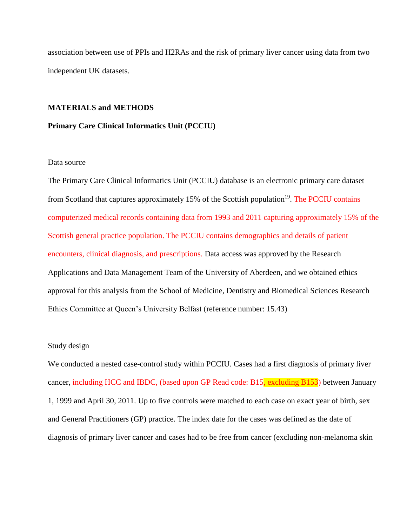association between use of PPIs and H2RAs and the risk of primary liver cancer using data from two independent UK datasets.

## **MATERIALS and METHODS**

## **Primary Care Clinical Informatics Unit (PCCIU)**

### Data source

The Primary Care Clinical Informatics Unit (PCCIU) database is an electronic primary care dataset from Scotland that captures approximately 15% of the Scottish population<sup>19</sup>. The PCCIU contains computerized medical records containing data from 1993 and 2011 capturing approximately 15% of the Scottish general practice population. The PCCIU contains demographics and details of patient encounters, clinical diagnosis, and prescriptions. Data access was approved by the Research Applications and Data Management Team of the University of Aberdeen, and we obtained ethics approval for this analysis from the School of Medicine, Dentistry and Biomedical Sciences Research Ethics Committee at Queen's University Belfast (reference number: 15.43)

### Study design

We conducted a nested case-control study within PCCIU. Cases had a first diagnosis of primary liver cancer, including HCC and IBDC, (based upon GP Read code: B15, excluding B153) between January 1, 1999 and April 30, 2011. Up to five controls were matched to each case on exact year of birth, sex and General Practitioners (GP) practice. The index date for the cases was defined as the date of diagnosis of primary liver cancer and cases had to be free from cancer (excluding non-melanoma skin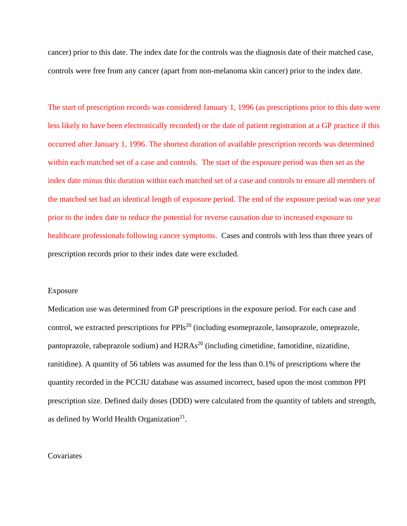cancer) prior to this date. The index date for the controls was the diagnosis date of their matched case, controls were free from any cancer (apart from non-melanoma skin cancer) prior to the index date.

The start of prescription records was considered January 1, 1996 (as prescriptions prior to this date were less likely to have been electronically recorded) or the date of patient registration at a GP practice if this occurred after January 1, 1996. The shortest duration of available prescription records was determined within each matched set of a case and controls. The start of the exposure period was then set as the index date minus this duration within each matched set of a case and controls to ensure all members of the matched set had an identical length of exposure period. The end of the exposure period was one year prior to the index date to reduce the potential for reverse causation due to increased exposure to healthcare professionals following cancer symptoms. Cases and controls with less than three years of prescription records prior to their index date were excluded.

#### Exposure

Medication use was determined from GP prescriptions in the exposure period. For each case and control, we extracted prescriptions for  $PPIs^{20}$  (including esomeprazole, lansoprazole, omeprazole, pantoprazole, rabeprazole sodium) and  $H2RAs<sup>20</sup>$  (including cimetidine, famotidine, nizatidine, ranitidine). A quantity of 56 tablets was assumed for the less than 0.1% of prescriptions where the quantity recorded in the PCCIU database was assumed incorrect, based upon the most common PPI prescription size. Defined daily doses (DDD) were calculated from the quantity of tablets and strength, as defined by World Health Organization $21$ .

### **Covariates**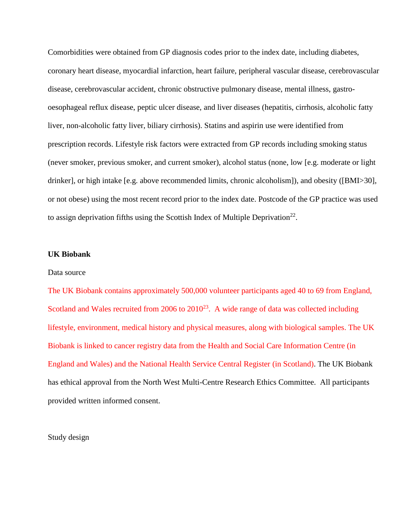Comorbidities were obtained from GP diagnosis codes prior to the index date, including diabetes, coronary heart disease, myocardial infarction, heart failure, peripheral vascular disease, cerebrovascular disease, cerebrovascular accident, chronic obstructive pulmonary disease, mental illness, gastrooesophageal reflux disease, peptic ulcer disease, and liver diseases (hepatitis, cirrhosis, alcoholic fatty liver, non-alcoholic fatty liver, biliary cirrhosis). Statins and aspirin use were identified from prescription records. Lifestyle risk factors were extracted from GP records including smoking status (never smoker, previous smoker, and current smoker), alcohol status (none, low [e.g. moderate or light drinker], or high intake [e.g. above recommended limits, chronic alcoholism]), and obesity ([BMI>30], or not obese) using the most recent record prior to the index date. Postcode of the GP practice was used to assign deprivation fifths using the Scottish Index of Multiple Deprivation<sup>22</sup>.

### **UK Biobank**

# Data source

The UK Biobank contains approximately 500,000 volunteer participants aged 40 to 69 from England, Scotland and Wales recruited from  $2006$  to  $2010^{23}$ . A wide range of data was collected including lifestyle, environment, medical history and physical measures, along with biological samples. The UK Biobank is linked to cancer registry data from the Health and Social Care Information Centre (in England and Wales) and the National Health Service Central Register (in Scotland). The UK Biobank has ethical approval from the North West Multi-Centre Research Ethics Committee. All participants provided written informed consent.

Study design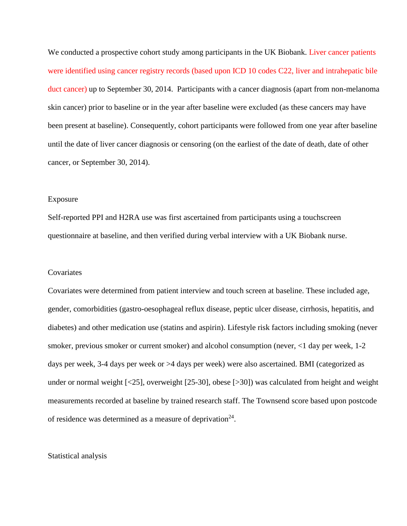We conducted a prospective cohort study among participants in the UK Biobank. Liver cancer patients were identified using cancer registry records (based upon ICD 10 codes C22, liver and intrahepatic bile duct cancer) up to September 30, 2014. Participants with a cancer diagnosis (apart from non-melanoma skin cancer) prior to baseline or in the year after baseline were excluded (as these cancers may have been present at baseline). Consequently, cohort participants were followed from one year after baseline until the date of liver cancer diagnosis or censoring (on the earliest of the date of death, date of other cancer, or September 30, 2014).

### Exposure

Self-reported PPI and H2RA use was first ascertained from participants using a touchscreen questionnaire at baseline, and then verified during verbal interview with a UK Biobank nurse.

#### **Covariates**

Covariates were determined from patient interview and touch screen at baseline. These included age, gender, comorbidities (gastro-oesophageal reflux disease, peptic ulcer disease, cirrhosis, hepatitis, and diabetes) and other medication use (statins and aspirin). Lifestyle risk factors including smoking (never smoker, previous smoker or current smoker) and alcohol consumption (never, <1 day per week, 1-2 days per week, 3-4 days per week or >4 days per week) were also ascertained. BMI (categorized as under or normal weight [<25], overweight [25-30], obese [>30]) was calculated from height and weight measurements recorded at baseline by trained research staff. The Townsend score based upon postcode of residence was determined as a measure of deprivation $24$ .

#### Statistical analysis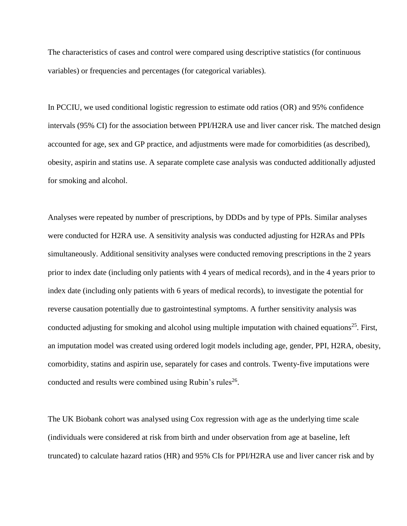The characteristics of cases and control were compared using descriptive statistics (for continuous variables) or frequencies and percentages (for categorical variables).

In PCCIU, we used conditional logistic regression to estimate odd ratios (OR) and 95% confidence intervals (95% CI) for the association between PPI/H2RA use and liver cancer risk. The matched design accounted for age, sex and GP practice, and adjustments were made for comorbidities (as described), obesity, aspirin and statins use. A separate complete case analysis was conducted additionally adjusted for smoking and alcohol.

Analyses were repeated by number of prescriptions, by DDDs and by type of PPIs. Similar analyses were conducted for H2RA use. A sensitivity analysis was conducted adjusting for H2RAs and PPIs simultaneously. Additional sensitivity analyses were conducted removing prescriptions in the 2 years prior to index date (including only patients with 4 years of medical records), and in the 4 years prior to index date (including only patients with 6 years of medical records), to investigate the potential for reverse causation potentially due to gastrointestinal symptoms. A further sensitivity analysis was conducted adjusting for smoking and alcohol using multiple imputation with chained equations<sup>25</sup>. First, an imputation model was created using ordered logit models including age, gender, PPI, H2RA, obesity, comorbidity, statins and aspirin use, separately for cases and controls. Twenty-five imputations were conducted and results were combined using Rubin's rules<sup>26</sup>.

The UK Biobank cohort was analysed using Cox regression with age as the underlying time scale (individuals were considered at risk from birth and under observation from age at baseline, left truncated) to calculate hazard ratios (HR) and 95% CIs for PPI/H2RA use and liver cancer risk and by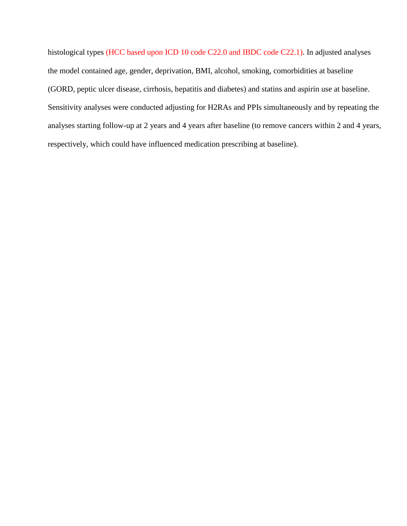histological types (HCC based upon ICD 10 code C22.0 and IBDC code C22.1). In adjusted analyses the model contained age, gender, deprivation, BMI, alcohol, smoking, comorbidities at baseline (GORD, peptic ulcer disease, cirrhosis, hepatitis and diabetes) and statins and aspirin use at baseline. Sensitivity analyses were conducted adjusting for H2RAs and PPIs simultaneously and by repeating the analyses starting follow-up at 2 years and 4 years after baseline (to remove cancers within 2 and 4 years, respectively, which could have influenced medication prescribing at baseline).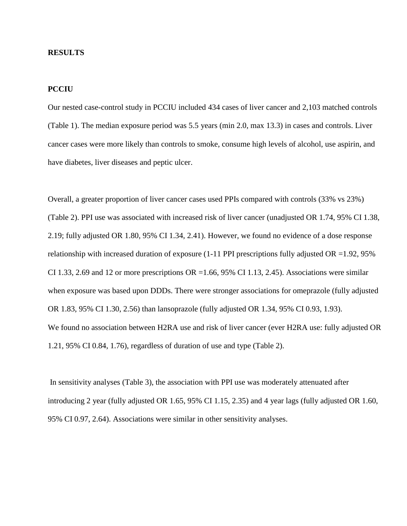# **RESULTS**

# **PCCIU**

Our nested case-control study in PCCIU included 434 cases of liver cancer and 2,103 matched controls (Table 1). The median exposure period was 5.5 years (min 2.0, max 13.3) in cases and controls. Liver cancer cases were more likely than controls to smoke, consume high levels of alcohol, use aspirin, and have diabetes, liver diseases and peptic ulcer.

Overall, a greater proportion of liver cancer cases used PPIs compared with controls (33% vs 23%) (Table 2). PPI use was associated with increased risk of liver cancer (unadjusted OR 1.74, 95% CI 1.38, 2.19; fully adjusted OR 1.80, 95% CI 1.34, 2.41). However, we found no evidence of a dose response relationship with increased duration of exposure  $(1-11$  PPI prescriptions fully adjusted OR =1.92, 95% CI 1.33, 2.69 and 12 or more prescriptions OR = 1.66, 95% CI 1.13, 2.45). Associations were similar when exposure was based upon DDDs. There were stronger associations for omeprazole (fully adjusted OR 1.83, 95% CI 1.30, 2.56) than lansoprazole (fully adjusted OR 1.34, 95% CI 0.93, 1.93). We found no association between H2RA use and risk of liver cancer (ever H2RA use: fully adjusted OR 1.21, 95% CI 0.84, 1.76), regardless of duration of use and type (Table 2).

In sensitivity analyses (Table 3), the association with PPI use was moderately attenuated after introducing 2 year (fully adjusted OR 1.65, 95% CI 1.15, 2.35) and 4 year lags (fully adjusted OR 1.60, 95% CI 0.97, 2.64). Associations were similar in other sensitivity analyses.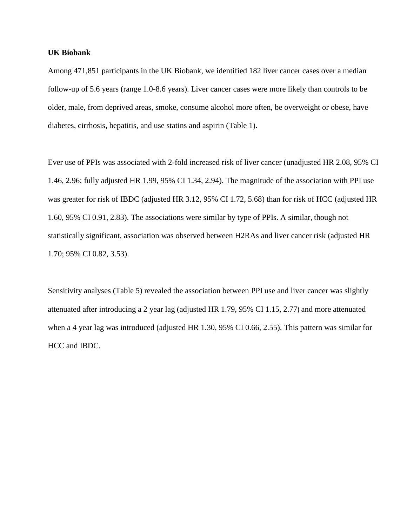# **UK Biobank**

Among 471,851 participants in the UK Biobank, we identified 182 liver cancer cases over a median follow-up of 5.6 years (range 1.0-8.6 years). Liver cancer cases were more likely than controls to be older, male, from deprived areas, smoke, consume alcohol more often, be overweight or obese, have diabetes, cirrhosis, hepatitis, and use statins and aspirin (Table 1).

Ever use of PPIs was associated with 2-fold increased risk of liver cancer (unadjusted HR 2.08, 95% CI 1.46, 2.96; fully adjusted HR 1.99, 95% CI 1.34, 2.94). The magnitude of the association with PPI use was greater for risk of IBDC (adjusted HR 3.12, 95% CI 1.72, 5.68) than for risk of HCC (adjusted HR 1.60, 95% CI 0.91, 2.83). The associations were similar by type of PPIs. A similar, though not statistically significant, association was observed between H2RAs and liver cancer risk (adjusted HR 1.70; 95% CI 0.82, 3.53).

Sensitivity analyses (Table 5) revealed the association between PPI use and liver cancer was slightly attenuated after introducing a 2 year lag (adjusted HR 1.79, 95% CI 1.15, 2.77) and more attenuated when a 4 year lag was introduced (adjusted HR 1.30, 95% CI 0.66, 2.55). This pattern was similar for HCC and IBDC.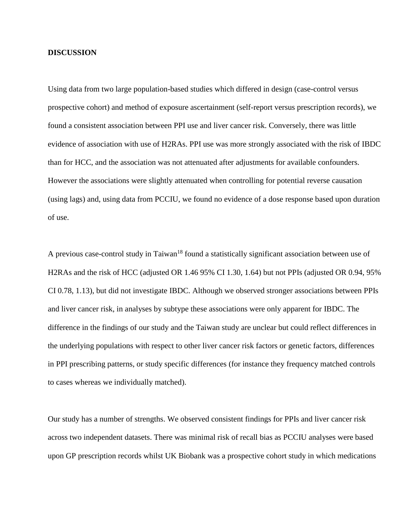# **DISCUSSION**

Using data from two large population-based studies which differed in design (case-control versus prospective cohort) and method of exposure ascertainment (self-report versus prescription records), we found a consistent association between PPI use and liver cancer risk. Conversely, there was little evidence of association with use of H2RAs. PPI use was more strongly associated with the risk of IBDC than for HCC, and the association was not attenuated after adjustments for available confounders. However the associations were slightly attenuated when controlling for potential reverse causation (using lags) and, using data from PCCIU, we found no evidence of a dose response based upon duration of use.

A previous case-control study in Taiwan<sup>18</sup> found a statistically significant association between use of H2RAs and the risk of HCC (adjusted OR 1.46 95% CI 1.30, 1.64) but not PPIs (adjusted OR 0.94, 95% CI 0.78, 1.13), but did not investigate IBDC. Although we observed stronger associations between PPIs and liver cancer risk, in analyses by subtype these associations were only apparent for IBDC. The difference in the findings of our study and the Taiwan study are unclear but could reflect differences in the underlying populations with respect to other liver cancer risk factors or genetic factors, differences in PPI prescribing patterns, or study specific differences (for instance they frequency matched controls to cases whereas we individually matched).

Our study has a number of strengths. We observed consistent findings for PPIs and liver cancer risk across two independent datasets. There was minimal risk of recall bias as PCCIU analyses were based upon GP prescription records whilst UK Biobank was a prospective cohort study in which medications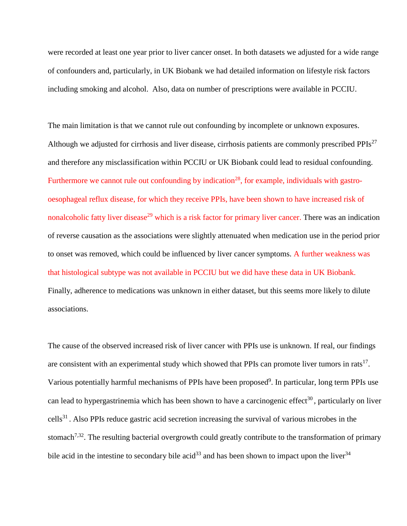were recorded at least one year prior to liver cancer onset. In both datasets we adjusted for a wide range of confounders and, particularly, in UK Biobank we had detailed information on lifestyle risk factors including smoking and alcohol. Also, data on number of prescriptions were available in PCCIU.

The main limitation is that we cannot rule out confounding by incomplete or unknown exposures. Although we adjusted for cirrhosis and liver disease, cirrhosis patients are commonly prescribed PPIs<sup>27</sup> and therefore any misclassification within PCCIU or UK Biobank could lead to residual confounding. Furthermore we cannot rule out confounding by indication<sup>28</sup>, for example, individuals with gastrooesophageal reflux disease, for which they receive PPIs, have been shown to have increased risk of nonalcoholic fatty liver disease<sup>29</sup> which is a risk factor for primary liver cancer. There was an indication of reverse causation as the associations were slightly attenuated when medication use in the period prior to onset was removed, which could be influenced by liver cancer symptoms. A further weakness was that histological subtype was not available in PCCIU but we did have these data in UK Biobank. Finally, adherence to medications was unknown in either dataset, but this seems more likely to dilute associations.

The cause of the observed increased risk of liver cancer with PPIs use is unknown. If real, our findings are consistent with an experimental study which showed that PPIs can promote liver tumors in rats<sup>17</sup>. Various potentially harmful mechanisms of PPIs have been proposed<sup>9</sup>. In particular, long term PPIs use can lead to hypergastrinemia which has been shown to have a carcinogenic effect<sup>30</sup>, particularly on liver cells<sup>31</sup>. Also PPIs reduce gastric acid secretion increasing the survival of various microbes in the stomach<sup>7,32</sup>. The resulting bacterial overgrowth could greatly contribute to the transformation of primary bile acid in the intestine to secondary bile acid<sup>33</sup> and has been shown to impact upon the liver<sup>34</sup>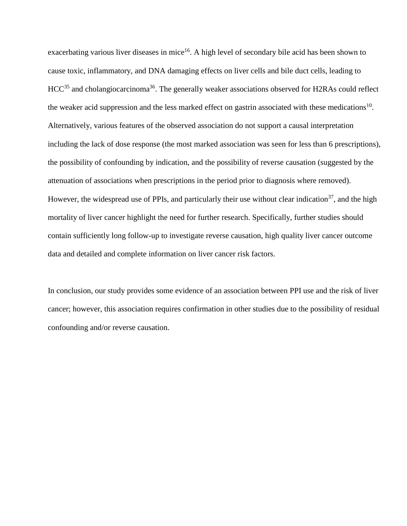exacerbating various liver diseases in mice<sup>16</sup>. A high level of secondary bile acid has been shown to cause toxic, inflammatory, and DNA damaging effects on liver cells and bile duct cells, leading to  $HCC<sup>35</sup>$  and cholangiocarcinoma<sup>36</sup>. The generally weaker associations observed for H2RAs could reflect the weaker acid suppression and the less marked effect on gastrin associated with these medications<sup>10</sup>. Alternatively, various features of the observed association do not support a causal interpretation including the lack of dose response (the most marked association was seen for less than 6 prescriptions), the possibility of confounding by indication, and the possibility of reverse causation (suggested by the attenuation of associations when prescriptions in the period prior to diagnosis where removed). However, the widespread use of PPIs, and particularly their use without clear indication<sup>37</sup>, and the high mortality of liver cancer highlight the need for further research. Specifically, further studies should contain sufficiently long follow-up to investigate reverse causation, high quality liver cancer outcome data and detailed and complete information on liver cancer risk factors.

In conclusion, our study provides some evidence of an association between PPI use and the risk of liver cancer; however, this association requires confirmation in other studies due to the possibility of residual confounding and/or reverse causation.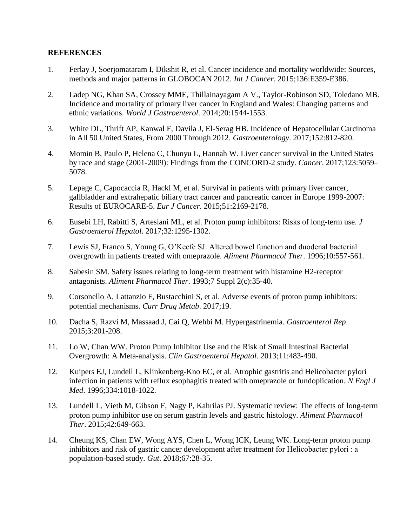# **REFERENCES**

- 1. Ferlay J, Soerjomataram I, Dikshit R, et al. Cancer incidence and mortality worldwide: Sources, methods and major patterns in GLOBOCAN 2012. *Int J Cancer*. 2015;136:E359-E386.
- 2. Ladep NG, Khan SA, Crossey MME, Thillainayagam A V., Taylor-Robinson SD, Toledano MB. Incidence and mortality of primary liver cancer in England and Wales: Changing patterns and ethnic variations. *World J Gastroenterol*. 2014;20:1544-1553.
- 3. White DL, Thrift AP, Kanwal F, Davila J, El-Serag HB. Incidence of Hepatocellular Carcinoma in All 50 United States, From 2000 Through 2012. *Gastroenterology*. 2017;152:812-820.
- 4. Momin B, Paulo P, Helena C, Chunyu L, Hannah W. Liver cancer survival in the United States by race and stage (2001-2009): Findings from the CONCORD-2 study. *Cancer*. 2017;123:5059– 5078.
- 5. Lepage C, Capocaccia R, Hackl M, et al. Survival in patients with primary liver cancer, gallbladder and extrahepatic biliary tract cancer and pancreatic cancer in Europe 1999-2007: Results of EUROCARE-5. *Eur J Cancer*. 2015;51:2169-2178.
- 6. Eusebi LH, Rabitti S, Artesiani ML, et al. Proton pump inhibitors: Risks of long-term use. *J Gastroenterol Hepatol*. 2017;32:1295-1302.
- 7. Lewis SJ, Franco S, Young G, O'Keefe SJ. Altered bowel function and duodenal bacterial overgrowth in patients treated with omeprazole. *Aliment Pharmacol Ther*. 1996;10:557-561.
- 8. Sabesin SM. Safety issues relating to long-term treatment with histamine H2-receptor antagonists. *Aliment Pharmacol Ther*. 1993;7 Suppl 2(c):35-40.
- 9. Corsonello A, Lattanzio F, Bustacchini S, et al. Adverse events of proton pump inhibitors: potential mechanisms. *Curr Drug Metab*. 2017;19.
- 10. Dacha S, Razvi M, Massaad J, Cai Q, Wehbi M. Hypergastrinemia. *Gastroenterol Rep*. 2015;3:201-208.
- 11. Lo W, Chan WW. Proton Pump Inhibitor Use and the Risk of Small Intestinal Bacterial Overgrowth: A Meta-analysis. *Clin Gastroenterol Hepatol*. 2013;11:483-490.
- 12. Kuipers EJ, Lundell L, Klinkenberg-Kno EC, et al. Atrophic gastritis and Helicobacter pylori infection in patients with reflux esophagitis treated with omeprazole or fundoplication. *N Engl J Med*. 1996;334:1018-1022.
- 13. Lundell L, Vieth M, Gibson F, Nagy P, Kahrilas PJ. Systematic review: The effects of long-term proton pump inhibitor use on serum gastrin levels and gastric histology. *Aliment Pharmacol Ther*. 2015;42:649-663.
- 14. Cheung KS, Chan EW, Wong AYS, Chen L, Wong ICK, Leung WK. Long-term proton pump inhibitors and risk of gastric cancer development after treatment for Helicobacter pylori : a population-based study. *Gut*. 2018;67:28-35.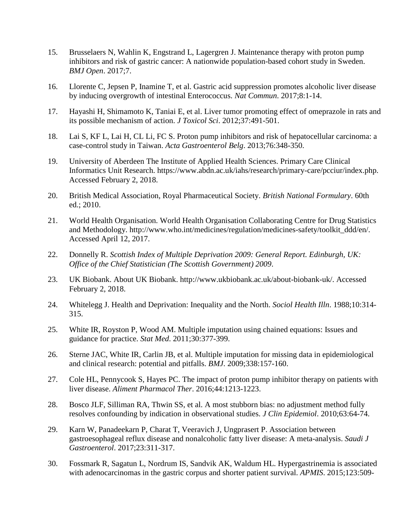- 15. Brusselaers N, Wahlin K, Engstrand L, Lagergren J. Maintenance therapy with proton pump inhibitors and risk of gastric cancer: A nationwide population-based cohort study in Sweden. *BMJ Open*. 2017;7.
- 16. Llorente C, Jepsen P, Inamine T, et al. Gastric acid suppression promotes alcoholic liver disease by inducing overgrowth of intestinal Enterococcus. *Nat Commun*. 2017;8:1-14.
- 17. Hayashi H, Shimamoto K, Taniai E, et al. Liver tumor promoting effect of omeprazole in rats and its possible mechanism of action. *J Toxicol Sci*. 2012;37:491-501.
- 18. Lai S, KF L, Lai H, CL Li, FC S. Proton pump inhibitors and risk of hepatocellular carcinoma: a case-control study in Taiwan. *Acta Gastroenterol Belg*. 2013;76:348-350.
- 19. University of Aberdeen The Institute of Applied Health Sciences. Primary Care Clinical Informatics Unit Research. https://www.abdn.ac.uk/iahs/research/primary-care/pcciur/index.php. Accessed February 2, 2018.
- 20. British Medical Association, Royal Pharmaceutical Society. *British National Formulary*. 60th ed.; 2010.
- 21. World Health Organisation. World Health Organisation Collaborating Centre for Drug Statistics and Methodology. http://www.who.int/medicines/regulation/medicines-safety/toolkit\_ddd/en/. Accessed April 12, 2017.
- 22. Donnelly R. *Scottish Index of Multiple Deprivation 2009: General Report. Edinburgh, UK: Office of the Chief Statistician (The Scottish Government) 2009*.
- 23. UK Biobank. About UK Biobank. http://www.ukbiobank.ac.uk/about-biobank-uk/. Accessed February 2, 2018.
- 24. Whitelegg J. Health and Deprivation: Inequality and the North. *Sociol Health Illn*. 1988;10:314- 315.
- 25. White IR, Royston P, Wood AM. Multiple imputation using chained equations: Issues and guidance for practice. *Stat Med*. 2011;30:377-399.
- 26. Sterne JAC, White IR, Carlin JB, et al. Multiple imputation for missing data in epidemiological and clinical research: potential and pitfalls. *BMJ*. 2009;338:157-160.
- 27. Cole HL, Pennycook S, Hayes PC. The impact of proton pump inhibitor therapy on patients with liver disease. *Aliment Pharmacol Ther*. 2016;44:1213-1223.
- 28. Bosco JLF, Silliman RA, Thwin SS, et al. A most stubborn bias: no adjustment method fully resolves confounding by indication in observational studies. *J Clin Epidemiol*. 2010;63:64-74.
- 29. Karn W, Panadeekarn P, Charat T, Veeravich J, Ungprasert P. Association between gastroesophageal reflux disease and nonalcoholic fatty liver disease: A meta-analysis. *Saudi J Gastroenterol*. 2017;23:311-317.
- 30. Fossmark R, Sagatun L, Nordrum IS, Sandvik AK, Waldum HL. Hypergastrinemia is associated with adenocarcinomas in the gastric corpus and shorter patient survival. *APMIS*. 2015;123:509-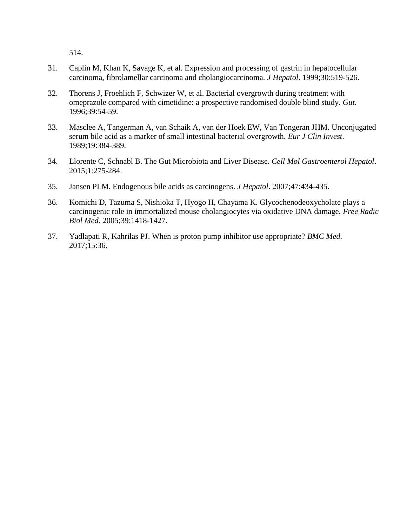514.

- 31. Caplin M, Khan K, Savage K, et al. Expression and processing of gastrin in hepatocellular carcinoma, fibrolamellar carcinoma and cholangiocarcinoma. *J Hepatol*. 1999;30:519-526.
- 32. Thorens J, Froehlich F, Schwizer W, et al. Bacterial overgrowth during treatment with omeprazole compared with cimetidine: a prospective randomised double blind study. *Gut*. 1996;39:54-59.
- 33. Masclee A, Tangerman A, van Schaik A, van der Hoek EW, Van Tongeran JHM. Unconjugated serum bile acid as a marker of small intestinal bacterial overgrowth. *Eur J Clin Invest*. 1989;19:384-389.
- 34. Llorente C, Schnabl B. The Gut Microbiota and Liver Disease. *Cell Mol Gastroenterol Hepatol*. 2015;1:275-284.
- 35. Jansen PLM. Endogenous bile acids as carcinogens. *J Hepatol*. 2007;47:434-435.
- 36. Komichi D, Tazuma S, Nishioka T, Hyogo H, Chayama K. Glycochenodeoxycholate plays a carcinogenic role in immortalized mouse cholangiocytes via oxidative DNA damage. *Free Radic Biol Med*. 2005;39:1418-1427.
- 37. Yadlapati R, Kahrilas PJ. When is proton pump inhibitor use appropriate? *BMC Med*. 2017;15:36.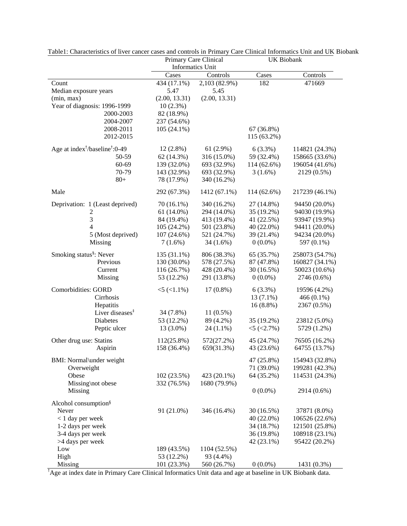|                                                        | Primary Care Clinical   |               | <b>UK Biobank</b> |                |  |  |
|--------------------------------------------------------|-------------------------|---------------|-------------------|----------------|--|--|
|                                                        | <b>Informatics Unit</b> |               |                   |                |  |  |
|                                                        | Cases                   | Controls      | Cases             | Controls       |  |  |
| Count                                                  | 434 (17.1%)             | 2,103 (82.9%) | 182               | 471669         |  |  |
| Median exposure years                                  | 5.47                    | 5.45          |                   |                |  |  |
| (min, max)                                             | (2.00, 13.31)           | (2.00, 13.31) |                   |                |  |  |
| Year of diagnosis: 1996-1999                           | $10(2.3\%)$             |               |                   |                |  |  |
| 2000-2003                                              | 82 (18.9%)              |               |                   |                |  |  |
| 2004-2007                                              | 237 (54.6%)             |               |                   |                |  |  |
| 2008-2011                                              | $105(24.1\%)$           |               | 67 (36.8%)        |                |  |  |
| 2012-2015                                              |                         |               | 115 (63.2%)       |                |  |  |
| Age at index <sup>†</sup> /baseline <sup>†</sup> :0-49 | $12(2.8\%)$             | 61(2.9%)      | $6(3.3\%)$        | 114821 (24.3%) |  |  |
| 50-59                                                  | 62 (14.3%)              | 316 (15.0%)   | 59 (32.4%)        | 158665 (33.6%) |  |  |
| 60-69                                                  | 139 (32.0%)             | 693 (32.9%)   | 114 (62.6%)       | 196054 (41.6%) |  |  |
| 70-79                                                  | 143 (32.9%)             | 693 (32.9%)   | $3(1.6\%)$        | 2129 (0.5%)    |  |  |
| $80+$                                                  | 78 (17.9%)              | 340 (16.2%)   |                   |                |  |  |
| Male                                                   | 292 (67.3%)             | 1412 (67.1%)  | 114 (62.6%)       | 217239 (46.1%) |  |  |
|                                                        | 70 (16.1%)              | 340 (16.2%)   | 27 (14.8%)        | 94450 (20.0%)  |  |  |
| Deprivation: 1 (Least deprived)                        | $61(14.0\%)$            | 294 (14.0%)   | 35 (19.2%)        | 94030 (19.9%)  |  |  |
| 2<br>3                                                 | 84 (19.4%)              | 413 (19.4%)   | 41 (22.5%)        | 93947 (19.9%)  |  |  |
| 4                                                      | 105 (24.2%)             | 501 (23.8%)   | 40 (22.0%)        | 94411 (20.0%)  |  |  |
| 5 (Most deprived)                                      | 107 (24.6%)             | 521 (24.7%)   | 39 (21.4%)        | 94234 (20.0%)  |  |  |
| Missing                                                | $7(1.6\%)$              | 34 (1.6%)     | $0(0.0\%)$        | 597 (0.1%)     |  |  |
|                                                        |                         |               |                   |                |  |  |
| Smoking status <sup>§</sup> : Never                    | 135 (31.1%)             | 806 (38.3%)   | 65 (35.7%)        | 258073 (54.7%) |  |  |
| Previous                                               | 130 (30.0%)             | 578 (27.5%)   | 87 (47.8%)        | 160827 (34.1%) |  |  |
| Current                                                | 116 (26.7%)             | 428 (20.4%)   | 30 (16.5%)        | 50023 (10.6%)  |  |  |
| Missing                                                | 53 (12.2%)              | 291 (13.8%)   | $0(0.0\%)$        | 2746 (0.6%)    |  |  |
| <b>Comorbidities: GORD</b>                             | $<$ 5 ( $<$ 1.1%)       | $17(0.8\%)$   | $6(3.3\%)$        | 19596 (4.2%)   |  |  |
| Cirrhosis                                              |                         |               | $13(7.1\%)$       | 466 $(0.1\%)$  |  |  |
| Hepatitis                                              |                         |               | $16(8.8\%)$       | 2367 (0.5%)    |  |  |
| Liver diseases <sup>#</sup>                            | 34 (7.8%)               | $11(0.5\%)$   |                   |                |  |  |
| Diabetes                                               | 53 (12.2%)              | 89 (4.2%)     | 35 (19.2%)        | 23812 (5.0%)   |  |  |
| Peptic ulcer                                           | 13 (3.0%)               | $24(1.1\%)$   | $<$ 5 ( $<$ 2.7%) | 5729 (1.2%)    |  |  |
| Other drug use: Statins                                | 112(25.8%)              | 572(27.2%)    | 45 (24.7%)        | 76505 (16.2%)  |  |  |
| Aspirin                                                | 158 (36.4%)             | 659(31.3%)    | 43 (23.6%)        | 64755 (13.7%)  |  |  |
|                                                        |                         |               |                   |                |  |  |
| BMI: Normal\under weight                               |                         |               | 47 (25.8%)        | 154943 (32.8%) |  |  |
| Overweight                                             |                         |               | 71 (39.0%)        | 199281 (42.3%) |  |  |
| Obese                                                  | 102 (23.5%)             | 423 (20.1%)   | 64 (35.2%)        | 114531 (24.3%) |  |  |
| Missing\not obese                                      | 332 (76.5%)             | 1680 (79.9%)  |                   |                |  |  |
| Missing                                                |                         |               | $0(0.0\%)$        | 2914 (0.6%)    |  |  |
| Alcohol consumption <sup>§</sup>                       |                         |               |                   |                |  |  |
| Never                                                  | 91 (21.0%)              | 346 (16.4%)   | 30 (16.5%)        | 37871 (8.0%)   |  |  |
| $< 1$ day per week                                     |                         |               | 40 (22.0%)        | 106526 (22.6%) |  |  |
| 1-2 days per week                                      |                         |               | 34 (18.7%)        | 121501 (25.8%) |  |  |
| 3-4 days per week                                      |                         |               | 36 (19.8%)        | 108918 (23.1%) |  |  |
| >4 days per week                                       |                         |               | 42 (23.1%)        | 95422 (20.2%)  |  |  |
| Low                                                    | 189 (43.5%)             | 1104 (52.5%)  |                   |                |  |  |
| High                                                   | 53 (12.2%)              | 93 (4.4%)     |                   |                |  |  |
| Missing                                                | 101 (23.3%)             | 560 (26.7%)   | $0(0.0\%)$        | 1431 (0.3%)    |  |  |

Table1: Characteristics of liver cancer cases and controls in Primary Care Clinical Informatics Unit and UK Biobank

†Age at index date in Primary Care Clinical Informatics Unit data and age at baseline in UK Biobank data.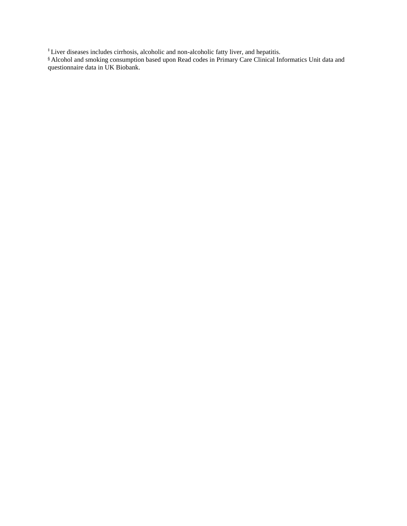‡ Liver diseases includes cirrhosis, alcoholic and non-alcoholic fatty liver, and hepatitis.

§ Alcohol and smoking consumption based upon Read codes in Primary Care Clinical Informatics Unit data and questionnaire data in UK Biobank.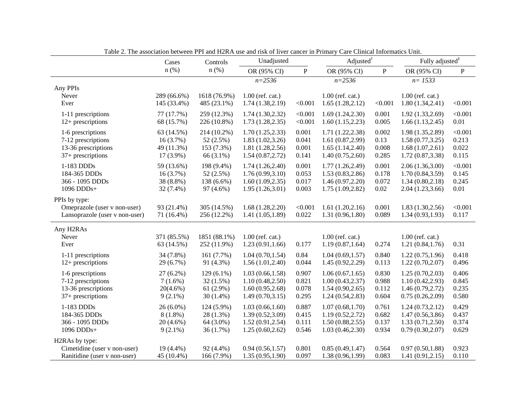|                                                                                 | Cases                      | Controls                    | Unadjusted                                           |                  |                                                      | $\text{Adjusted}^{\dagger}$ | Fully adjusted <sup>#</sup>                          |                  |
|---------------------------------------------------------------------------------|----------------------------|-----------------------------|------------------------------------------------------|------------------|------------------------------------------------------|-----------------------------|------------------------------------------------------|------------------|
|                                                                                 | $n$ (%)                    | $n$ (%)                     | OR (95% CI)                                          | ${\bf P}$        | OR (95% CI)                                          | $\, {\bf P}$                | OR (95% CI)                                          | $\mathbf{P}$     |
| Any PPIs<br>Never<br>Ever                                                       | 289 (66.6%)<br>145 (33.4%) | 1618 (76.9%)<br>485 (23.1%) | $n = 2536$<br>$1.00$ (ref. cat.)<br>1.74(1.38, 2.19) | < 0.001          | $n = 2536$<br>$1.00$ (ref. cat.)<br>1.65(1.28, 2.12) | < 0.001                     | $n = 1533$<br>$1.00$ (ref. cat.)<br>1.80(1.34, 2.41) | < 0.001          |
| 1-11 prescriptions                                                              | 77 (17.7%)                 | 259 (12.3%)                 | 1.74(1.30, 2.32)                                     | < 0.001          | 1.69(1.24, 2.30)                                     | 0.001                       | 1.92(1.33, 2.69)                                     | < 0.001          |
| $12+$ prescriptions                                                             | 68 (15.7%)                 | 226 (10.8%)                 | 1.73(1.28, 2.35)                                     | < 0.001          | 1.60(1.15, 2.23)                                     | 0.005                       | 1.66(1.13, 2.45)                                     | 0.01             |
| 1-6 prescriptions                                                               | 63 (14.5%)                 | 214 (10.2%)                 | 1.70(1.25, 2.33)                                     | 0.001            | 1.71(1.22, 2.38)                                     | 0.002                       | 1.98 (1.35,2.89)                                     | < 0.001          |
| 7-12 prescriptions                                                              | 16(3.7%)                   | 52(2.5%)                    | 1.83(1.02, 3.26)                                     | 0.041            | 1.61(0.87, 2.99)                                     | 0.13                        | 1.58(0.77, 3.25)                                     | 0.213            |
| 13-36 prescriptions                                                             | 49 (11.3%)                 | 153 (7.3%)                  | 1.81(1.28, 2.56)                                     | 0.001            | 1.65(1.14, 2.40)                                     | 0.008                       | 1.68(1.07, 2.61)                                     | 0.022            |
| $37+$ prescriptions                                                             | 17 (3.9%)                  | 66 (3.1%)                   | 1.54(0.87, 2.72)                                     | 0.141            | 1.40(0.75, 2.60)                                     | 0.285                       | 1.72(0.87, 3.38)                                     | 0.115            |
| 1-183 DDDs                                                                      | 59 (13.6%)                 | 198 (9.4%)                  | 1.74(1.26, 2.40)                                     | 0.001            | 1.77(1.26, 2.49)                                     | 0.001                       | 2.06(1.36,3.00)                                      | < 0.001          |
| 184-365 DDDs                                                                    | $16(3.7\%)$                | 52(2.5%)                    | 1.76(0.99, 3.10)                                     | 0.053            | 1.53(0.83, 2.86)                                     | 0.178                       | 1.70(0.84, 3.59)                                     | 0.145            |
| 366 - 1095 DDDs                                                                 | 38 (8.8%)                  | 138 (6.6%)                  | 1.60(1.09, 2.35)                                     | 0.017            | 1.46(0.97, 2.20)                                     | 0.072                       | 1.34(0.80, 2.18)                                     | 0.245            |
| 1096 DDDs+                                                                      | 32 (7.4%)                  | 97 (4.6%)                   | 1.95(1.26,3.01)                                      | 0.003            | 1.75(1.09, 2.82)                                     | $0.02\,$                    | 2.04(1.23, 3.66)                                     | 0.01             |
| PPIs by type:<br>Omeprazole (user v non-user)<br>Lansoprazole (user v non-user) | 93 (21.4%)<br>71 (16.4%)   | 305 (14.5%)<br>256 (12.2%)  | 1.68(1.28, 2.20)<br>1.41(1.05, 1.89)                 | < 0.001<br>0.022 | 1.61(1.20, 2.16)<br>1.31(0.96, 1.80)                 | 0.001<br>0.089              | 1.83(1.30, 2.56)<br>1.34(0.93, 1.93)                 | < 0.001<br>0.117 |
| Any H2RAs<br>Never<br>Ever                                                      | 371 (85.5%)<br>63 (14.5%)  | 1851 (88.1%)<br>252 (11.9%) | $1.00$ (ref. cat.)<br>1.23(0.91, 1.66)               | 0.177            | $1.00$ (ref. cat.)<br>1.19(0.87, 1.64)               | 0.274                       | $1.00$ (ref. cat.)<br>1.21(0.84, 1.76)               | 0.31             |
| 1-11 prescriptions                                                              | 34 (7.8%)                  | 161(7.7%)                   | 1.04(0.70, 1.54)                                     | 0.84             | 1.04(0.69, 1.57)                                     | 0.840                       | 1.22(0.75, 1.96)                                     | 0.418            |
| $12+$ prescriptions                                                             | 29 (6.7%)                  | 91 (4.3%)                   | 1.56(1.01, 2.40)                                     | 0.044            | 1.45 (0.92,2.29)                                     | 0.113                       | 1.22(0.70, 2.07)                                     | 0.496            |
| 1-6 prescriptions                                                               | $27(6.2\%)$                | $129(6.1\%)$                | 1.03(0.66, 1.58)                                     | 0.907            | 1.06(0.67, 1.65)                                     | 0.830                       | 1.25(0.70, 2.03)                                     | 0.406            |
| 7-12 prescriptions                                                              | $7(1.6\%)$                 | $32(1.5\%)$                 | 1.10(0.48, 2.50)                                     | 0.821            | 1.00(0.43, 2.37)                                     | 0.988                       | 1.10(0.42, 2.93)                                     | 0.845            |
| 13-36 prescriptions                                                             | $20(4.6\%)$                | 61 $(2.9\%)$                | 1.60(0.95, 2.68)                                     | 0.078            | 1.54(0.90, 2.65)                                     | 0.112                       | 1.46(0.79, 2.72)                                     | 0.235            |
| $37+$ prescriptions                                                             | $9(2.1\%)$                 | $30(1.4\%)$                 | 1.49(0.70, 3.15)                                     | 0.295            | 1.24(0.54, 2.83)                                     | 0.604                       | 0.75(0.26, 2.09)                                     | 0.580            |
| 1-183 DDDs                                                                      | $26(6.0\%)$                | 124 (5.9%)                  | 1.03(0.66, 1.60)                                     | 0.887            | 1.07(0.68, 1.70)                                     | 0.761                       | 1.24(0.73, 2.12)                                     | 0.429            |
| 184-365 DDDs                                                                    | $8(1.8\%)$                 | 28 (1.3%)                   | 1.39(0.52, 3.09)                                     | 0.415            | 1.19(0.52, 2.72)                                     | 0.682                       | 1.47(0.56, 3.86)                                     | 0.437            |
| 366 - 1095 DDDs                                                                 | $20(4.6\%)$                | 64 (3.0%)                   | 1.52(0.91, 2.54)                                     | 0.111            | 1.50(0.88, 2.55)                                     | 0.137                       | 1.33(0.71, 2.50)                                     | 0.374            |
| 1096 DDDs+                                                                      | $9(2.1\%)$                 | 36(1.7%)                    | 1.25(0.60, 2.62)                                     | 0.546            | 1.03(0.46, 2.30)                                     | 0.934                       | 0.79(0.30, 2.07)                                     | 0.629            |
| H2RAs by type:<br>Cimetidine (user v non-user)<br>Ranitidine (user v non-user)  | 19 (4.4%)<br>45 (10.4%)    | 92 (4.4%)<br>166 (7.9%)     | 0.94(0.56, 1.57)<br>1.35(0.95, 1.90)                 | 0.801<br>0.097   | 0.85(0.49, 1.47)<br>1.38(0.96, 1.99)                 | 0.564<br>0.083              | 0.97(0.50, 1.88)<br>1.41(0.91, 2.15)                 | 0.923<br>0.110   |

Table 2. The association between PPI and H2RA use and risk of liver cancer in Primary Care Clinical Informatics Unit.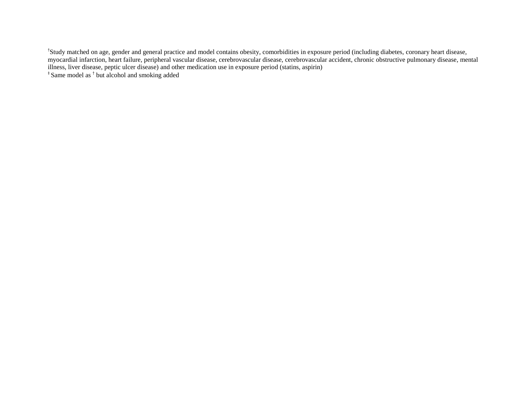<sup>†</sup>Study matched on age, gender and general practice and model contains obesity, comorbidities in exposure period (including diabetes, coronary heart disease, myocardial infarction, heart failure, peripheral vascular disease, cerebrovascular disease, cerebrovascular accident, chronic obstructive pulmonary disease, mental illness, liver disease, peptic ulcer disease) and other medication use in exposure period (statins, aspirin)

‡ Same model as † but alcohol and smoking added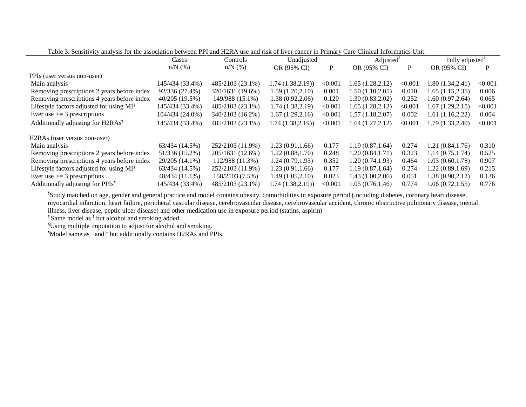|                                                      | Unadjusted<br>Cases<br>Controls |                  |                   | $\text{Adjusted}^{\text{T}}$ | Fully adjusted <sup>#</sup> |            |                   |         |
|------------------------------------------------------|---------------------------------|------------------|-------------------|------------------------------|-----------------------------|------------|-------------------|---------|
|                                                      | $n/N$ (%)                       | $n/N$ $(\%)$     | OR (95% CI)       | P                            | OR (95% CI)                 | P          | OR (95% CI)       | P       |
| PPIs (user versus non-user)                          |                                 |                  |                   |                              |                             |            |                   |         |
| Main analysis                                        | 145/434 (33.4%)                 | 485/2103 (23.1%) | 1.74 (1.38,2.19)) | < 0.001                      | 1.65(1.28, 2.12)            | ${<}0.001$ | 1.80 (1.34, 2.41) | < 0.001 |
| Removing prescriptions 2 years before index          | 92/336 (27.4%)                  | 320/1631 (19.6%) | 1.59(1.20, 2.10)  | 0.001                        | 1.50(1.10.2.05)             | 0.010      | 1.65 (1.15,2.35)  | 0.006   |
| Removing prescriptions 4 years before index          | 40/205 (19.5%)                  | 149/988 (15.1%)  | 1.38(0.92, 2.06)  | 0.120                        | 1.30(0.83, 2.02)            | 0.252      | 1.60 (0.97,2.64)  | 0.065   |
| Lifestyle factors adjusted for using MI <sup>§</sup> | 145/434 (33.4%)                 | 485/2103 (23.1%) | 1.74(1.38, 2.19)  | < 0.001                      | 1.65(1.28, 2.12)            | < 0.001    | 1.67 (1.29,2.15)  | < 0.001 |
| Ever use $\geq$ 3 prescriptions                      | 104/434 (24.0%)                 | 340/2103 (16.2%) | 1.67(1.29, 2.16)  | < 0.001                      | 1.57(1.18, 2.07)            | 0.002      | 1.61 (1.16,2.22)  | 0.004   |
| Additionally adjusting for H2RAs <sup>1</sup>        | 145/434 (33.4%)                 | 485/2103 (23.1%) | 1.74 (1.38,2.19)) | < 0.001                      | 1.64 (1.27, 2.12)           | < 0.001    | 1.79 (1.33,2.40)  | < 0.001 |
| H <sub>2</sub> RAs (user versus non-user)            |                                 |                  |                   |                              |                             |            |                   |         |
| Main analysis                                        | 63/434 (14.5%)                  | 252/2103 (11.9%) | 1.23(0.91, 1.66)  | 0.177                        | 1.19(0.87, 1.64)            | 0.274      | 1.21 (0.84, 1.76) | 0.310   |
| Removing prescriptions 2 years before index          | 51/336 (15.2%)                  | 205/1631 (12.6%) | 1.22(0.88, 1.70)  | 0.248                        | 1.20(0.84, 1.71)            | 0.323      | 1.14(0.75, 1.74)  | 0.525   |
| Removing prescriptions 4 years before index          | 29/205 (14.1%)                  | 112/988 (11.3%)  | 1.24(0.79, 1.93)  | 0.352                        | 1.20(0.74, 1.93)            | 0.464      | 1.03 (0.60, 1.78) | 0.907   |
| Lifestyle factors adjusted for using MI <sup>§</sup> | 63/434 (14.5%)                  | 252/2103 (11.9%) | 1.23(0.91, 1.66)  | 0.177                        | 1.19(0.87, 1.64)            | 0.274      | 1.22 (0.89,1.69)  | 0.215   |
| Ever use $\geq$ 3 prescriptions                      | 48/434 (11.1%)                  | 158/2103 (7.5%)  | 1.49(1.05, 2.10)  | 0.023                        | 1.43(1.00, 2.06)            | 0.051      | 1.38 (0.90, 2.12) | 0.136   |
| Additionally adjusting for PPIs <sup>1</sup>         | 145/434 (33.4%)                 | 485/2103 (23.1%) | 1.74(1.38, 2.19)  | < 0.001                      | 1.05 (0.76,1.46)            | 0.774      | 1.06 (0.72,1.55)  | 0.776   |

Table 3. Sensitivity analysis for the association between PPI and H2RA use and risk of liver cancer in Primary Care Clinical Informatics Unit.

†Study matched on age, gender and general practice and model contains obesity, comorbidities in exposure period (including diabetes, coronary heart disease, myocardial infarction, heart failure, peripheral vascular disease, cerebrovascular disease, cerebrovascular accident, chronic obstructive pulmonary disease, mental

illness, liver disease, peptic ulcer disease) and other medication use in exposure period (statins, aspirin)

<sup>‡</sup> Same model as <sup>†</sup> but alcohol and smoking added.

§Using multiple imputation to adjust for alcohol and smoking.

¶Model same as † and ‡ but additionally contains H2RAs and PPIs.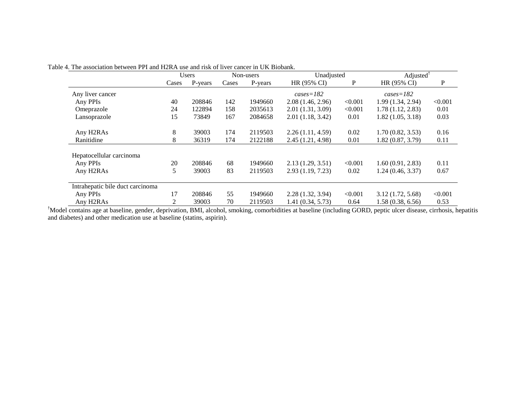|                                    | <b>Users</b> |         | Non-users |         | Unadjusted       |         | Adjusted <sup><math>†</math></sup> |         |  |
|------------------------------------|--------------|---------|-----------|---------|------------------|---------|------------------------------------|---------|--|
|                                    | Cases        | P-years | Cases     | P-years | HR (95% CI)      | P       | HR (95% CI)                        | P       |  |
| Any liver cancer                   |              |         |           |         | $cases = 182$    |         | $cases = 182$                      |         |  |
| Any PPIs                           | 40           | 208846  | 142       | 1949660 | 2.08(1.46, 2.96) | < 0.001 | 1.99 (1.34, 2.94)                  | < 0.001 |  |
| Omeprazole                         | 24           | 122894  | 158       | 2035613 | 2.01(1.31, 3.09) | < 0.001 | 1.78(1.12, 2.83)                   | 0.01    |  |
| Lansoprazole                       | 15           | 73849   | 167       | 2084658 | 2.01(1.18, 3.42) | 0.01    | 1.82(1.05, 3.18)                   | 0.03    |  |
| Any H2RAs                          | 8            | 39003   | 174       | 2119503 | 2.26(1.11, 4.59) | 0.02    | 1.70(0.82, 3.53)                   | 0.16    |  |
| Ranitidine                         | 8            | 36319   | 174       | 2122188 | 2.45(1.21, 4.98) | 0.01    | 1.82(0.87, 3.79)                   | 0.11    |  |
| Hepatocellular carcinoma           |              |         |           |         |                  |         |                                    |         |  |
| Any PPIs                           | 20           | 208846  | 68        | 1949660 | 2.13(1.29, 3.51) | < 0.001 | 1.60(0.91, 2.83)                   | 0.11    |  |
| Any H2RAs                          | 5            | 39003   | 83        | 2119503 | 2.93(1.19, 7.23) | 0.02    | 1.24(0.46, 3.37)                   | 0.67    |  |
| Intrahepatic bile duct carcinoma   |              |         |           |         |                  |         |                                    |         |  |
| Any PPIs                           | 17           | 208846  | 55        | 1949660 | 2.28(1.32, 3.94) | < 0.001 | 3.12(1.72, 5.68)                   | < 0.001 |  |
| Any H <sub>2</sub> RA <sub>s</sub> | 2            | 39003   | 70        | 2119503 | 1.41(0.34, 5.73) | 0.64    | 1.58(0.38, 6.56)                   | 0.53    |  |

Table 4. The association between PPI and H2RA use and risk of liver cancer in UK Biobank.

†Model contains age at baseline, gender, deprivation, BMI, alcohol, smoking, comorbidities at baseline (including GORD, peptic ulcer disease, cirrhosis, hepatitis and diabetes) and other medication use at baseline (statins, aspirin).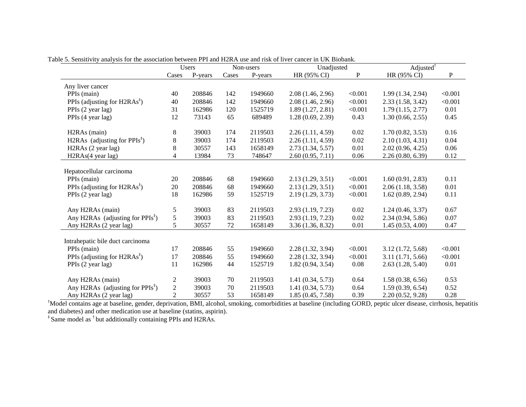|                                             |                | Users   | Non-users |         | Unadjusted        |         | Adjusted <sup><math>\dagger</math></sup> |         |
|---------------------------------------------|----------------|---------|-----------|---------|-------------------|---------|------------------------------------------|---------|
|                                             | Cases          | P-years | Cases     | P-years | HR (95% CI)       | P       | HR (95% CI)                              | P       |
| Any liver cancer                            |                |         |           |         |                   |         |                                          |         |
| PPIs (main)                                 | 40             | 208846  | 142       | 1949660 | 2.08(1.46, 2.96)  | < 0.001 | 1.99(1.34, 2.94)                         | < 0.001 |
| PPIs (adjusting for $H2RAs†$ )              | 40             | 208846  | 142       | 1949660 | 2.08 (1.46, 2.96) | < 0.001 | 2.33(1.58, 3.42)                         | < 0.001 |
| PPIs (2 year lag)                           | 31             | 162986  | 120       | 1525719 | 1.89(1.27, 2.81)  | < 0.001 | 1.79(1.15, 2.77)                         | 0.01    |
| PPIs (4 year lag)                           | 12             | 73143   | 65        | 689489  | 1.28(0.69, 2.39)  | 0.43    | 1.30(0.66, 2.55)                         | 0.45    |
| H <sub>2</sub> RA <sub>s</sub> (main)       | 8              | 39003   | 174       | 2119503 | 2.26(1.11, 4.59)  | 0.02    | 1.70(0.82, 3.53)                         | 0.16    |
| H2RAs (adjusting for $PPIs^{\dagger}$ )     | 8              | 39003   | 174       | 2119503 | 2.26(1.11, 4.59)  | 0.02    | 2.10(1.03, 4.31)                         | 0.04    |
| H <sub>2</sub> RAs (2 year lag)             | 8              | 30557   | 143       | 1658149 | 2.73(1.34, 5.57)  | 0.01    | 2.02(0.96, 4.25)                         | 0.06    |
| H2RAs(4 year lag)                           | $\overline{4}$ | 13984   | 73        | 748647  | 2.60(0.95, 7.11)  | 0.06    | 2.26(0.80, 6.39)                         | 0.12    |
| Hepatocellular carcinoma                    |                |         |           |         |                   |         |                                          |         |
| PPIs (main)                                 | 20             | 208846  | 68        | 1949660 | 2.13(1.29, 3.51)  | < 0.001 | 1.60(0.91, 2.83)                         | 0.11    |
| PPIs (adjusting for $H2RAs†$ )              | 20             | 208846  | 68        | 1949660 | 2.13(1.29, 3.51)  | < 0.001 | 2.06(1.18, 3.58)                         | 0.01    |
| PPIs (2 year lag)                           | 18             | 162986  | 59        | 1525719 | 2.19(1.29, 3.73)  | < 0.001 | 1.62(0.89, 2.94)                         | 0.11    |
| Any H2RAs (main)                            | 5              | 39003   | 83        | 2119503 | 2.93 (1.19, 7.23) | 0.02    | 1.24(0.46, 3.37)                         | 0.67    |
| Any H2RAs (adjusting for $PPIs^{\dagger}$ ) | 5              | 39003   | 83        | 2119503 | 2.93 (1.19, 7.23) | 0.02    | 2.34(0.94, 5.86)                         | 0.07    |
| Any H2RAs (2 year lag)                      | 5              | 30557   | 72        | 1658149 | 3.36(1.36, 8.32)  | 0.01    | 1.45(0.53, 4.00)                         | 0.47    |
| Intrahepatic bile duct carcinoma            |                |         |           |         |                   |         |                                          |         |
| PPIs (main)                                 | 17             | 208846  | 55        | 1949660 | 2.28(1.32, 3.94)  | < 0.001 | 3.12(1.72, 5.68)                         | < 0.001 |
| PPIs (adjusting for $H2RAs†$ )              | 17             | 208846  | 55        | 1949660 | 2.28 (1.32, 3.94) | < 0.001 | 3.11(1.71, 5.66)                         | < 0.001 |
| PPIs (2 year lag)                           | 11             | 162986  | 44        | 1525719 | 1.82(0.94, 3.54)  | 0.08    | 2.63(1.28, 5.40)                         | 0.01    |
| Any H2RAs (main)                            | 2              | 39003   | 70        | 2119503 | 1.41(0.34, 5.73)  | 0.64    | 1.58(0.38, 6.56)                         | 0.53    |
| Any H2RAs (adjusting for $PPIs^{\dagger}$ ) | $\overline{2}$ | 39003   | 70        | 2119503 | 1.41(0.34, 5.73)  | 0.64    | 1.59(0.39, 6.54)                         | 0.52    |
| Any H2RAs (2 year lag)                      | $\overline{2}$ | 30557   | 53        | 1658149 | 1.85(0.45, 7.58)  | 0.39    | 2.20(0.52, 9.28)                         | 0.28    |

Table 5. Sensitivity analysis for the association between PPI and H2RA use and risk of liver cancer in UK Biobank.

†Model contains age at baseline, gender, deprivation, BMI, alcohol, smoking, comorbidities at baseline (including GORD, peptic ulcer disease, cirrhosis, hepatitis and diabetes) and other medication use at baseline (statins, aspirin).

<sup>‡</sup> Same model as <sup>†</sup> but additionally containing PPIs and H2RAs.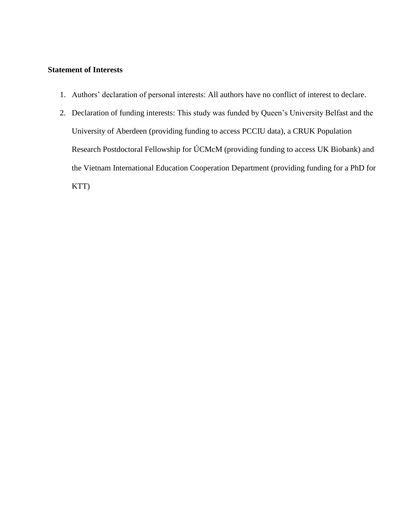# **Statement of Interests**

- 1. Authors' declaration of personal interests: All authors have no conflict of interest to declare.
- 2. Declaration of funding interests: This study was funded by Queen's University Belfast and the University of Aberdeen (providing funding to access PCCIU data), a CRUK Population Research Postdoctoral Fellowship for ÚCMcM (providing funding to access UK Biobank) and the Vietnam International Education Cooperation Department (providing funding for a PhD for KTT)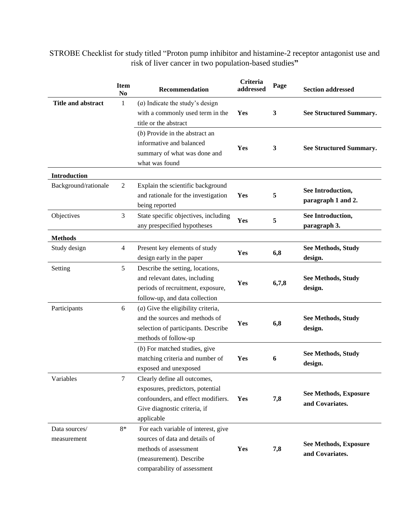STROBE Checklist for study titled "Proton pump inhibitor and histamine-2 receptor antagonist use and risk of liver cancer in two population-based studies**"**

|                              | <b>Item</b><br>No | Recommendation                                                                                                                                           | Criteria<br>addressed | Page  | <b>Section addressed</b>                        |
|------------------------------|-------------------|----------------------------------------------------------------------------------------------------------------------------------------------------------|-----------------------|-------|-------------------------------------------------|
| <b>Title and abstract</b>    | 1                 | $(a)$ Indicate the study's design<br>with a commonly used term in the<br>title or the abstract                                                           | Yes                   | 3     | <b>See Structured Summary.</b>                  |
|                              |                   | $(b)$ Provide in the abstract an<br>informative and balanced<br>summary of what was done and<br>what was found                                           | Yes                   | 3     | <b>See Structured Summary.</b>                  |
| <b>Introduction</b>          |                   |                                                                                                                                                          |                       |       |                                                 |
| Background/rationale         | 2                 | Explain the scientific background<br>and rationale for the investigation<br>being reported                                                               | Yes                   | 5     | See Introduction,<br>paragraph 1 and 2.         |
| Objectives                   | 3                 | State specific objectives, including<br>any prespecified hypotheses                                                                                      | Yes                   | 5     | See Introduction,<br>paragraph 3.               |
| <b>Methods</b>               |                   |                                                                                                                                                          |                       |       |                                                 |
| Study design                 | $\overline{4}$    | Present key elements of study<br>design early in the paper                                                                                               | Yes                   | 6,8   | See Methods, Study<br>design.                   |
| Setting                      | 5                 | Describe the setting, locations,<br>and relevant dates, including<br>periods of recruitment, exposure,<br>follow-up, and data collection                 | Yes                   | 6,7,8 | <b>See Methods, Study</b><br>design.            |
| Participants                 | 6                 | $(a)$ Give the eligibility criteria,<br>and the sources and methods of<br>selection of participants. Describe<br>methods of follow-up                    | Yes                   | 6,8   | <b>See Methods, Study</b><br>design.            |
|                              |                   | $(b)$ For matched studies, give<br>matching criteria and number of<br>exposed and unexposed                                                              | Yes                   | 6     | See Methods, Study<br>design.                   |
| Variables                    | 7                 | Clearly define all outcomes,<br>exposures, predictors, potential<br>confounders, and effect modifiers.<br>Give diagnostic criteria, if<br>applicable     | Yes                   | 7,8   | <b>See Methods, Exposure</b><br>and Covariates. |
| Data sources/<br>measurement | $8*$              | For each variable of interest, give<br>sources of data and details of<br>methods of assessment<br>(measurement). Describe<br>comparability of assessment | Yes                   | 7,8   | See Methods, Exposure<br>and Covariates.        |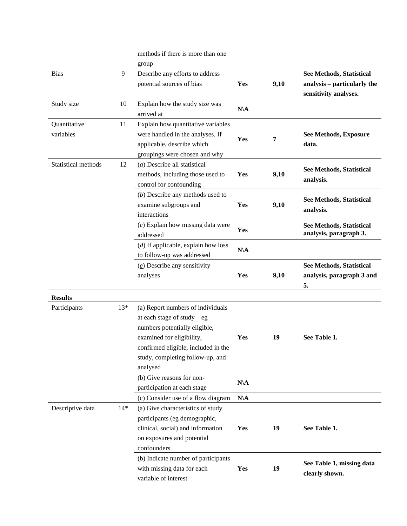|                     |       | methods if there is more than one     |            |                       |                                 |
|---------------------|-------|---------------------------------------|------------|-----------------------|---------------------------------|
|                     |       | group                                 |            |                       |                                 |
| <b>Bias</b>         | 9     | Describe any efforts to address       |            |                       | See Methods, Statistical        |
|                     |       | potential sources of bias             | Yes        | 9,10                  | analysis – particularly the     |
|                     |       |                                       |            |                       | sensitivity analyses.           |
| Study size          | 10    | Explain how the study size was        |            |                       |                                 |
|                     |       | arrived at                            | $N\Lambda$ |                       |                                 |
| Quantitative        | 11    | Explain how quantitative variables    |            |                       |                                 |
| variables           |       | were handled in the analyses. If      |            | See Methods, Exposure |                                 |
|                     |       | applicable, describe which            | Yes        | 7                     | data.                           |
|                     |       | groupings were chosen and why         |            |                       |                                 |
| Statistical methods | 12    | $(a)$ Describe all statistical        |            |                       |                                 |
|                     |       | methods, including those used to      | Yes        | 9,10                  | <b>See Methods, Statistical</b> |
|                     |       | control for confounding               |            |                       | analysis.                       |
|                     |       | $(b)$ Describe any methods used to    |            |                       |                                 |
|                     |       | examine subgroups and                 | Yes        | 9,10                  | See Methods, Statistical        |
|                     |       | interactions                          |            |                       | analysis.                       |
|                     |       | $(c)$ Explain how missing data were   |            |                       | See Methods, Statistical        |
|                     |       | addressed                             | Yes        |                       | analysis, paragraph 3.          |
|                     |       | $(d)$ If applicable, explain how loss |            |                       |                                 |
|                     |       | to follow-up was addressed            | $N\$       |                       |                                 |
|                     |       | $(e)$ Describe any sensitivity        |            |                       | See Methods, Statistical        |
|                     |       | analyses                              | Yes        | 9,10                  | analysis, paragraph 3 and       |
|                     |       |                                       |            |                       | 5.                              |
| <b>Results</b>      |       |                                       |            |                       |                                 |
| Participants        | $13*$ | (a) Report numbers of individuals     |            |                       |                                 |
|                     |       | at each stage of study-eg             |            |                       |                                 |
|                     |       | numbers potentially eligible,         |            |                       |                                 |
|                     |       | examined for eligibility,             | Yes        | 19                    | See Table 1.                    |
|                     |       | confirmed eligible, included in the   |            |                       |                                 |
|                     |       | study, completing follow-up, and      |            |                       |                                 |
|                     |       | analysed                              |            |                       |                                 |
|                     |       | (b) Give reasons for non-             |            |                       |                                 |
|                     |       | participation at each stage           | $N\$       |                       |                                 |
|                     |       | (c) Consider use of a flow diagram    | $N\$       |                       |                                 |
| Descriptive data    | $14*$ | (a) Give characteristics of study     |            |                       |                                 |
|                     |       | participants (eg demographic,         |            |                       |                                 |
|                     |       | clinical, social) and information     | Yes        | 19                    | See Table 1.                    |
|                     |       | on exposures and potential            |            |                       |                                 |
|                     |       | confounders                           |            |                       |                                 |
|                     |       | (b) Indicate number of participants   |            |                       |                                 |
|                     |       | with missing data for each            | Yes        | 19                    | See Table 1, missing data       |
|                     |       | variable of interest                  |            |                       | clearly shown.                  |
|                     |       |                                       |            |                       |                                 |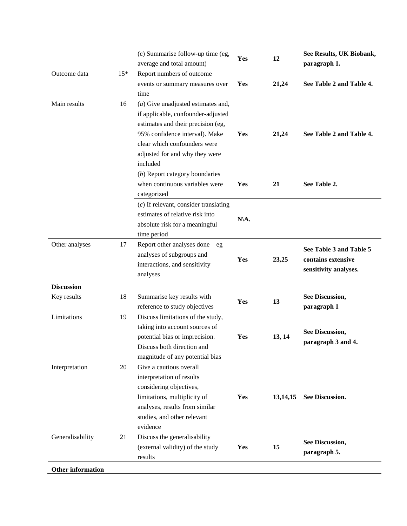|                          |       | (c) Summarise follow-up time (eg,<br>average and total amount)                                                                                                                                                                   | Yes  | 12         | See Results, UK Biobank,<br>paragraph 1.                               |
|--------------------------|-------|----------------------------------------------------------------------------------------------------------------------------------------------------------------------------------------------------------------------------------|------|------------|------------------------------------------------------------------------|
| Outcome data             | $15*$ | Report numbers of outcome<br>events or summary measures over<br>time                                                                                                                                                             | Yes  | 21,24      | See Table 2 and Table 4.                                               |
| Main results             | 16    | $(a)$ Give unadjusted estimates and,<br>if applicable, confounder-adjusted<br>estimates and their precision (eg,<br>95% confidence interval). Make<br>clear which confounders were<br>adjusted for and why they were<br>included | Yes  | 21,24      | See Table 2 and Table 4.                                               |
|                          |       | (b) Report category boundaries<br>when continuous variables were<br>categorized                                                                                                                                                  | Yes  | 21         | See Table 2.                                                           |
|                          |       | $(c)$ If relevant, consider translating<br>estimates of relative risk into<br>absolute risk for a meaningful<br>time period                                                                                                      | N\A. |            |                                                                        |
| Other analyses           | 17    | Report other analyses done-eg<br>analyses of subgroups and<br>interactions, and sensitivity<br>analyses                                                                                                                          | Yes  | 23,25      | See Table 3 and Table 5<br>contains extensive<br>sensitivity analyses. |
| <b>Discussion</b>        |       |                                                                                                                                                                                                                                  |      |            |                                                                        |
| Key results              | 18    | Summarise key results with<br>reference to study objectives                                                                                                                                                                      | Yes  | 13         | <b>See Discussion,</b><br>paragraph 1                                  |
| Limitations              | 19    | Discuss limitations of the study,<br>taking into account sources of<br>potential bias or imprecision.<br>Discuss both direction and<br>magnitude of any potential bias                                                           | Yes  | 13, 14     | <b>See Discussion,</b><br>paragraph 3 and 4.                           |
| Interpretation           | 20    | Give a cautious overall<br>interpretation of results<br>considering objectives,<br>limitations, multiplicity of<br>analyses, results from similar<br>studies, and other relevant<br>evidence                                     | Yes  | 13, 14, 15 | See Discussion.                                                        |
| Generalisability         | 21    | Discuss the generalisability<br>(external validity) of the study<br>results                                                                                                                                                      | Yes  | 15         | See Discussion,<br>paragraph 5.                                        |
| <b>Other information</b> |       |                                                                                                                                                                                                                                  |      |            |                                                                        |